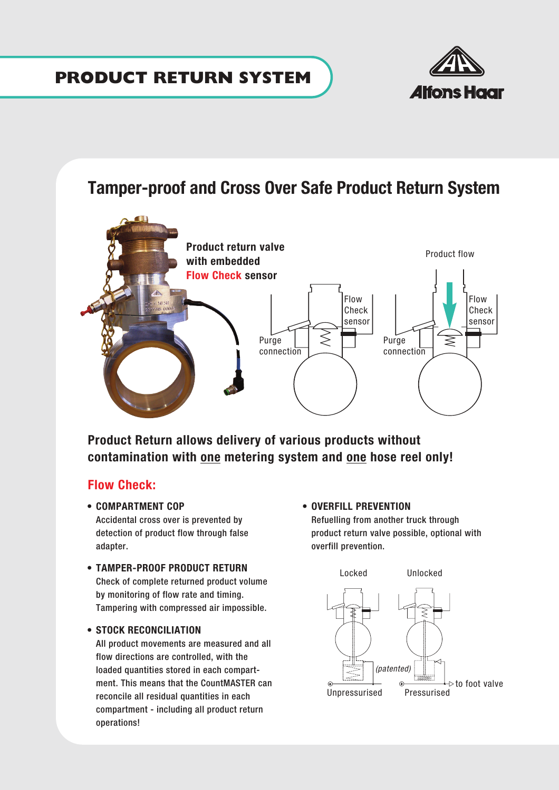

# **Tamper-proof and Cross Over Safe Product Return System**



**Product Return allows delivery of various products without contamination with one metering system and one hose reel only!**

## **Flow Check:**

**• COMPARTMENT COP**

Accidental cross over is prevented by detection of product flow through false adapter.

### **• TAMPER-PROOF PRODUCT RETURN** Check of complete returned product volume by monitoring of flow rate and timing. Tampering with compressed air impossible.

### **• STOCK RECONCILIATION**

All product movements are measured and all flow directions are controlled, with the loaded quantities stored in each compartment. This means that the CountMASTER can reconcile all residual quantities in each compartment - including all product return operations!

**• OVERFILL PREVENTION** Refuelling from another truck through product return valve possible, optional with overfill prevention.